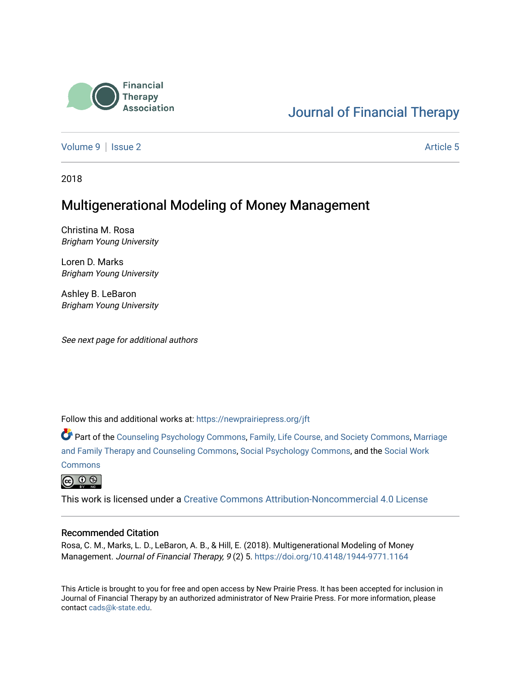

# [Journal of Financial Therapy](https://newprairiepress.org/jft)

[Volume 9](https://newprairiepress.org/jft/vol9) | [Issue 2](https://newprairiepress.org/jft/vol9/iss2) Article 5

2018

# Multigenerational Modeling of Money Management

Christina M. Rosa Brigham Young University

Loren D. Marks Brigham Young University

Ashley B. LeBaron Brigham Young University

See next page for additional authors

Follow this and additional works at: [https://newprairiepress.org/jft](https://newprairiepress.org/jft?utm_source=newprairiepress.org%2Fjft%2Fvol9%2Fiss2%2F5&utm_medium=PDF&utm_campaign=PDFCoverPages)

Part of the [Counseling Psychology Commons](http://network.bepress.com/hgg/discipline/1044?utm_source=newprairiepress.org%2Fjft%2Fvol9%2Fiss2%2F5&utm_medium=PDF&utm_campaign=PDFCoverPages), [Family, Life Course, and Society Commons,](http://network.bepress.com/hgg/discipline/419?utm_source=newprairiepress.org%2Fjft%2Fvol9%2Fiss2%2F5&utm_medium=PDF&utm_campaign=PDFCoverPages) [Marriage](http://network.bepress.com/hgg/discipline/715?utm_source=newprairiepress.org%2Fjft%2Fvol9%2Fiss2%2F5&utm_medium=PDF&utm_campaign=PDFCoverPages)  [and Family Therapy and Counseling Commons](http://network.bepress.com/hgg/discipline/715?utm_source=newprairiepress.org%2Fjft%2Fvol9%2Fiss2%2F5&utm_medium=PDF&utm_campaign=PDFCoverPages), [Social Psychology Commons,](http://network.bepress.com/hgg/discipline/414?utm_source=newprairiepress.org%2Fjft%2Fvol9%2Fiss2%2F5&utm_medium=PDF&utm_campaign=PDFCoverPages) and the [Social Work](http://network.bepress.com/hgg/discipline/713?utm_source=newprairiepress.org%2Fjft%2Fvol9%2Fiss2%2F5&utm_medium=PDF&utm_campaign=PDFCoverPages)

**[Commons](http://network.bepress.com/hgg/discipline/713?utm_source=newprairiepress.org%2Fjft%2Fvol9%2Fiss2%2F5&utm_medium=PDF&utm_campaign=PDFCoverPages)** 



This work is licensed under a [Creative Commons Attribution-Noncommercial 4.0 License](https://creativecommons.org/licenses/by-nc/4.0/)

#### Recommended Citation

Rosa, C. M., Marks, L. D., LeBaron, A. B., & Hill, E. (2018). Multigenerational Modeling of Money Management. Journal of Financial Therapy, 9 (2) 5.<https://doi.org/10.4148/1944-9771.1164>

This Article is brought to you for free and open access by New Prairie Press. It has been accepted for inclusion in Journal of Financial Therapy by an authorized administrator of New Prairie Press. For more information, please contact [cads@k-state.edu](mailto:cads@k-state.edu).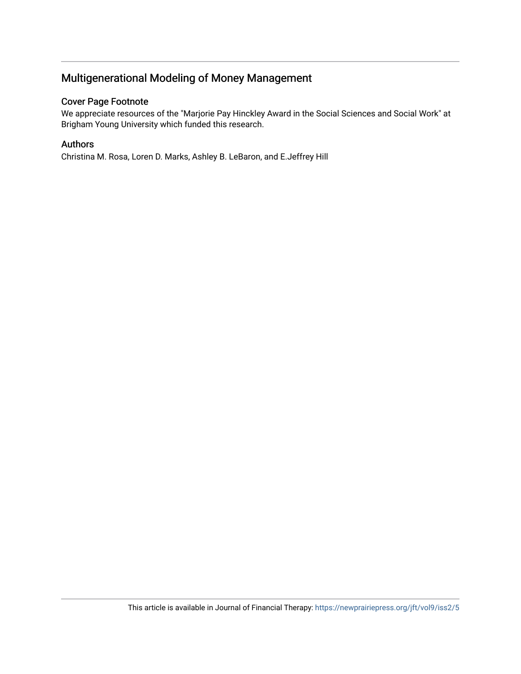# Multigenerational Modeling of Money Management

#### Cover Page Footnote

We appreciate resources of the "Marjorie Pay Hinckley Award in the Social Sciences and Social Work" at Brigham Young University which funded this research.

#### Authors

Christina M. Rosa, Loren D. Marks, Ashley B. LeBaron, and E.Jeffrey Hill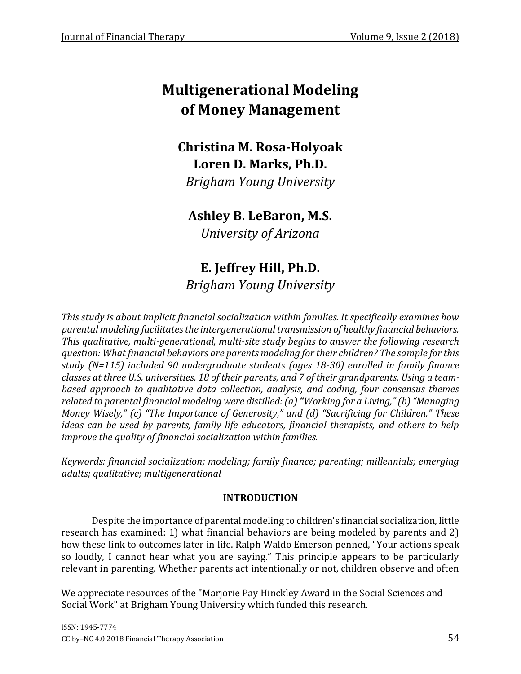# **Multigenerational Modeling of Money Management**

# **Christina M. Rosa-Holyoak Loren D. Marks, Ph.D.**

*Brigham Young University*

# **Ashley B. LeBaron, M.S.**

*University of Arizona*

# **E. Jeffrey Hill, Ph.D.** *Brigham Young University*

*This study is about implicit financial socialization within families. It specifically examines how parental modeling facilitates the intergenerational transmission of healthy financial behaviors. This qualitative, multi-generational, multi-site study begins to answer the following research question: What financial behaviors are parents modeling for their children? The sample for this study (N=115) included 90 undergraduate students (ages 18-30) enrolled in family finance classes at three U.S. universities, 18 of their parents, and 7 of their grandparents. Using a teambased approach to qualitative data collection, analysis, and coding, four consensus themes related to parental financial modeling were distilled: (a)"Working for a Living,"(b) "Managing Money Wisely," (c) "The Importance of Generosity," and (d) "Sacrificing for Children." These ideas can be used by parents, family life educators, financial therapists, and others to help improve the quality of financial socialization within families.*

*Keywords: financial socialization; modeling; family finance; parenting; millennials; emerging adults; qualitative; multigenerational* 

### **INTRODUCTION**

Despite the importance of parental modeling to children's financial socialization, little research has examined: 1) what financial behaviors are being modeled by parents and 2) how these link to outcomes later in life. Ralph Waldo Emerson penned, "Your actions speak so loudly, I cannot hear what you are saying." This principle appears to be particularly relevant in parenting. Whether parents act intentionally or not, children observe and often

We appreciate resources of the "Marjorie Pay Hinckley Award in the Social Sciences and Social Work" at Brigham Young University which funded this research.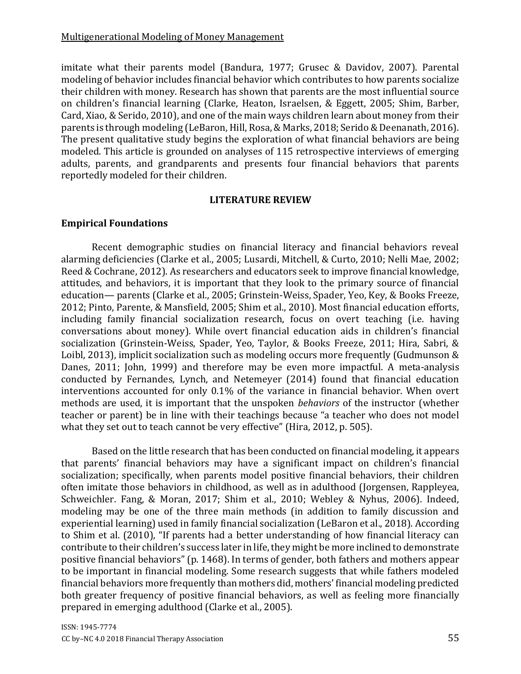imitate what their parents model (Bandura, 1977; Grusec & Davidov, 2007). Parental modeling of behavior includes financial behavior which contributes to how parents socialize their children with money. Research has shown that parents are the most influential source on children's financial learning (Clarke, Heaton, Israelsen, & Eggett, 2005; Shim, Barber, Card, Xiao, & Serido, 2010), and one of the main ways children learn about money from their parents is through modeling (LeBaron, Hill, Rosa, & Marks, 2018; Serido & Deenanath, 2016). The present qualitative study begins the exploration of what financial behaviors are being modeled. This article is grounded on analyses of 115 retrospective interviews of emerging adults, parents, and grandparents and presents four financial behaviors that parents reportedly modeled for their children.

#### **LITERATURE REVIEW**

#### **Empirical Foundations**

Recent demographic studies on financial literacy and financial behaviors reveal alarming deficiencies (Clarke et al., 2005; Lusardi, Mitchell, & Curto, 2010; Nelli Mae, 2002; Reed & Cochrane, 2012). As researchers and educators seek to improve financial knowledge, attitudes, and behaviors, it is important that they look to the primary source of financial education— parents (Clarke et al., 2005; Grinstein-Weiss, Spader, Yeo, Key, & Books Freeze, 2012; Pinto, Parente, & Mansfield, 2005; Shim et al., 2010). Most financial education efforts, including family financial socialization research, focus on overt teaching (i.e. having conversations about money). While overt financial education aids in children's financial socialization (Grinstein-Weiss, Spader, Yeo, Taylor, & Books Freeze, 2011; Hira, Sabri, & Loibl, 2013), implicit socialization such as modeling occurs more frequently (Gudmunson & Danes, 2011; John, 1999) and therefore may be even more impactful. A meta-analysis conducted by Fernandes, Lynch, and Netemeyer (2014) found that financial education interventions accounted for only 0.1% of the variance in financial behavior. When overt methods are used, it is important that the unspoken *behaviors* of the instructor (whether teacher or parent) be in line with their teachings because "a teacher who does not model what they set out to teach cannot be very effective" (Hira, 2012, p. 505).

Based on the little research that has been conducted on financial modeling, it appears that parents' financial behaviors may have a significant impact on children's financial socialization; specifically, when parents model positive financial behaviors, their children often imitate those behaviors in childhood, as well as in adulthood (Jorgensen, Rappleyea, Schweichler. Fang, & Moran, 2017; Shim et al., 2010; Webley & Nyhus, 2006). Indeed, modeling may be one of the three main methods (in addition to family discussion and experiential learning) used in family financial socialization (LeBaron et al., 2018). According to Shim et al. (2010), "If parents had a better understanding of how financial literacy can contribute to their children's success later in life, they might be more inclined to demonstrate positive financial behaviors" (p. 1468). In terms of gender, both fathers and mothers appear to be important in financial modeling. Some research suggests that while fathers modeled financial behaviors more frequently than mothers did, mothers' financial modeling predicted both greater frequency of positive financial behaviors, as well as feeling more financially prepared in emerging adulthood (Clarke et al., 2005).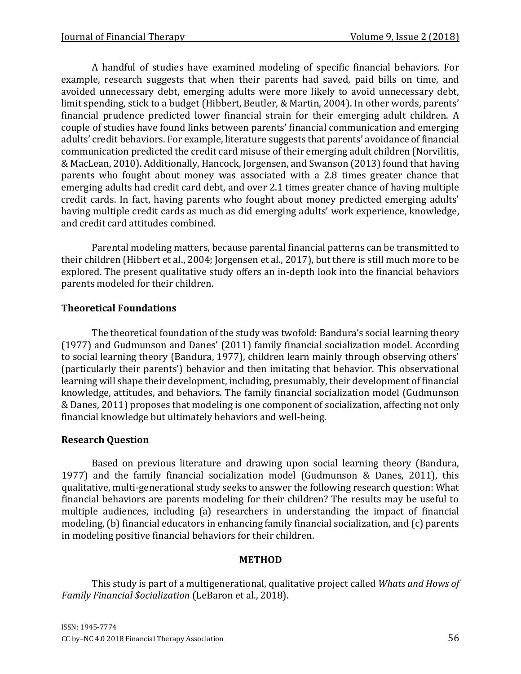A handful of studies have examined modeling of specific financial behaviors. For example, research suggests that when their parents had saved, paid bills on time, and avoided unnecessary debt, emerging adults were more likely to avoid unnecessary debt, limit spending, stick to a budget (Hibbert, Beutler, & Martin, 2004). In other words, parents' financial prudence predicted lower financial strain for their emerging adult children. A couple of studies have found links between parents' financial communication and emerging adults' credit behaviors. For example, literature suggests that parents' avoidance of financial communication predicted the credit card misuse of their emerging adult children (Norvilitis, & MacLean, 2010). Additionally, Hancock, Jorgensen, and Swanson (2013) found that having parents who fought about money was associated with a 2.8 times greater chance that emerging adults had credit card debt, and over 2.1 times greater chance of having multiple credit cards. In fact, having parents who fought about money predicted emerging adults' having multiple credit cards as much as did emerging adults' work experience, knowledge, and credit card attitudes combined.

Parental modeling matters, because parental financial patterns can be transmitted to their children (Hibbert et al., 2004; Jorgensen et al., 2017), but there is still much more to be explored. The present qualitative study offers an in-depth look into the financial behaviors parents modeled for their children.

# **Theoretical Foundations**

The theoretical foundation of the study was twofold: Bandura's social learning theory (1977) and Gudmunson and Danes' (2011) family financial socialization model. According to social learning theory (Bandura, 1977), children learn mainly through observing others' (particularly their parents') behavior and then imitating that behavior. This observational learning will shape their development, including, presumably, their development of financial knowledge, attitudes, and behaviors. The family financial socialization model (Gudmunson & Danes, 2011) proposes that modeling is one component of socialization, affecting not only financial knowledge but ultimately behaviors and well-being.

### **Research Question**

Based on previous literature and drawing upon social learning theory (Bandura, 1977) and the family financial socialization model (Gudmunson & Danes, 2011), this qualitative, multi-generational study seeks to answer the following research question: What financial behaviors are parents modeling for their children? The results may be useful to multiple audiences, including (a) researchers in understanding the impact of financial modeling, (b) financial educators in enhancing family financial socialization, and (c) parents in modeling positive financial behaviors for their children.

### **METHOD**

This study is part of a multigenerational, qualitative project called *Whats and Hows of Family Financial \$ocialization* (LeBaron et al., 2018).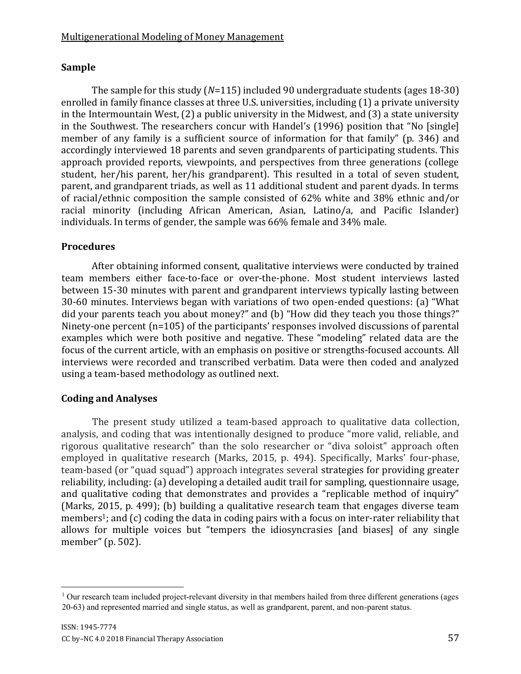# **Sample**

The sample for this study (*N*=115) included 90 undergraduate students (ages 18-30) enrolled in family finance classes at three U.S. universities, including (1) a private university in the Intermountain West, (2) a public university in the Midwest, and (3) a state university in the Southwest. The researchers concur with Handel's (1996) position that "No [single] member of any family is a sufficient source of information for that family" (p. 346) and accordingly interviewed 18 parents and seven grandparents of participating students. This approach provided reports, viewpoints, and perspectives from three generations (college student, her/his parent, her/his grandparent). This resulted in a total of seven student, parent, and grandparent triads, as well as 11 additional student and parent dyads. In terms of racial/ethnic composition the sample consisted of 62% white and 38% ethnic and/or racial minority (including African American, Asian, Latino/a, and Pacific Islander) individuals. In terms of gender, the sample was 66% female and 34% male.

# **Procedures**

After obtaining informed consent, qualitative interviews were conducted by trained team members either face-to-face or over-the-phone. Most student interviews lasted between 15-30 minutes with parent and grandparent interviews typically lasting between 30-60 minutes. Interviews began with variations of two open-ended questions: (a) "What did your parents teach you about money?" and (b) "How did they teach you those things?" Ninety-one percent (n=105) of the participants' responses involved discussions of parental examples which were both positive and negative. These "modeling" related data are the focus of the current article, with an emphasis on positive or strengths-focused accounts. All interviews were recorded and transcribed verbatim. Data were then coded and analyzed using a team-based methodology as outlined next.

### **Coding and Analyses**

The present study utilized a team-based approach to qualitative data collection, analysis, and coding that was intentionally designed to produce "more valid, reliable, and rigorous qualitative research" than the solo researcher or "diva soloist" approach often employed in qualitative research (Marks, 2015, p. 494). Specifically, Marks' four-phase, team-based (or "quad squad") approach integrates several strategies for providing greater reliability, including: (a) developing a detailed audit trail for sampling, questionnaire usage, and qualitative coding that demonstrates and provides a "replicable method of inquiry" (Marks, 2015, p. 499); (b) building a qualitative research team that engages diverse team members<sup>1</sup>; and (c) coding the data in coding pairs with a focus on inter-rater reliability that allows for multiple voices but "tempers the idiosyncrasies [and biases] of any single member" (p. 502).

 $\overline{a}$  $1$  Our research team included project-relevant diversity in that members hailed from three different generations (ages 20-63) and represented married and single status, as well as grandparent, parent, and non-parent status.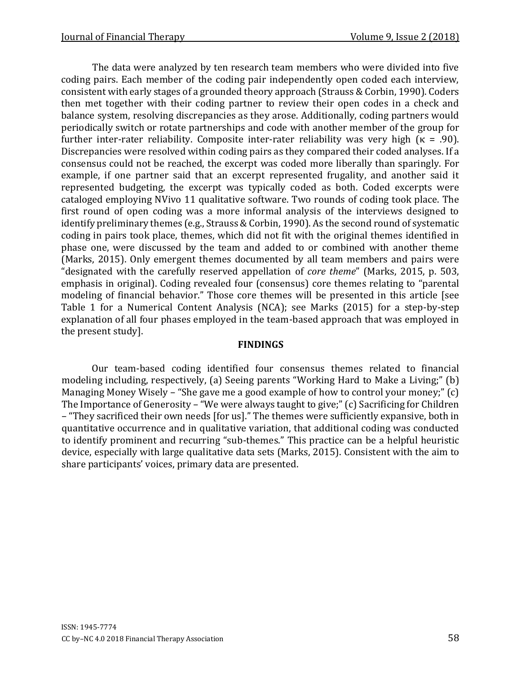The data were analyzed by ten research team members who were divided into five coding pairs. Each member of the coding pair independently open coded each interview, consistent with early stages of a grounded theory approach (Strauss & Corbin, 1990). Coders then met together with their coding partner to review their open codes in a check and balance system, resolving discrepancies as they arose. Additionally, coding partners would periodically switch or rotate partnerships and code with another member of the group for further inter-rater reliability. Composite inter-rater reliability was very high ( $\kappa = .90$ ). Discrepancies were resolved within coding pairs as they compared their coded analyses. If a consensus could not be reached, the excerpt was coded more liberally than sparingly. For example, if one partner said that an excerpt represented frugality, and another said it represented budgeting, the excerpt was typically coded as both. Coded excerpts were cataloged employing NVivo 11 qualitative software. Two rounds of coding took place. The first round of open coding was a more informal analysis of the interviews designed to identify preliminary themes (e.g., Strauss & Corbin, 1990). As the second round of systematic coding in pairs took place, themes, which did not fit with the original themes identified in phase one, were discussed by the team and added to or combined with another theme (Marks, 2015). Only emergent themes documented by all team members and pairs were "designated with the carefully reserved appellation of *core theme*" (Marks, 2015, p. 503, emphasis in original). Coding revealed four (consensus) core themes relating to "parental modeling of financial behavior." Those core themes will be presented in this article [see Table 1 for a Numerical Content Analysis (NCA); see Marks (2015) for a step-by-step explanation of all four phases employed in the team-based approach that was employed in the present study].

#### **FINDINGS**

Our team-based coding identified four consensus themes related to financial modeling including, respectively, (a) Seeing parents "Working Hard to Make a Living;" (b) Managing Money Wisely – "She gave me a good example of how to control your money;" (c) The Importance of Generosity – "We were always taught to give;" (c) Sacrificing for Children – "They sacrificed their own needs [for us]." The themes were sufficiently expansive, both in quantitative occurrence and in qualitative variation, that additional coding was conducted to identify prominent and recurring "sub-themes." This practice can be a helpful heuristic device, especially with large qualitative data sets (Marks, 2015). Consistent with the aim to share participants' voices, primary data are presented.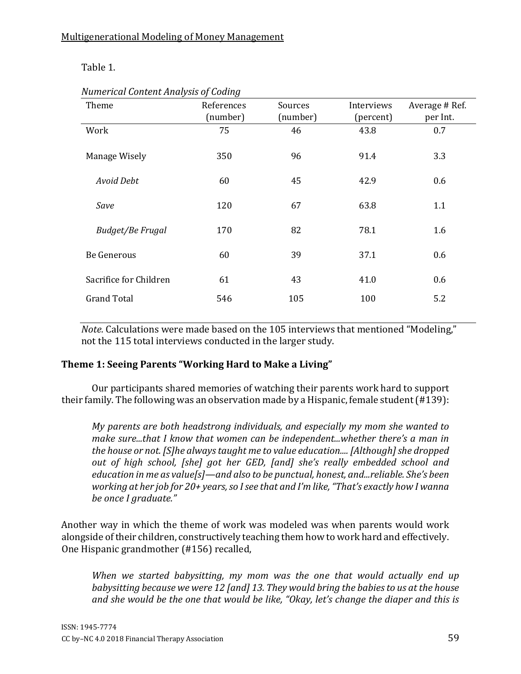Table 1.

| ╯<br>Theme             | ັ<br>References<br>(number) | Sources<br>(number) | Interviews<br>(percent) | Average # Ref.<br>per Int. |
|------------------------|-----------------------------|---------------------|-------------------------|----------------------------|
| Work                   | 75                          | 46                  | 43.8                    | 0.7                        |
| Manage Wisely          | 350                         | 96                  | 91.4                    | 3.3                        |
| Avoid Debt             | 60                          | 45                  | 42.9                    | 0.6                        |
| Save                   | 120                         | 67                  | 63.8                    | 1.1                        |
| Budget/Be Frugal       | 170                         | 82                  | 78.1                    | 1.6                        |
| <b>Be Generous</b>     | 60                          | 39                  | 37.1                    | 0.6                        |
| Sacrifice for Children | 61                          | 43                  | 41.0                    | 0.6                        |
| <b>Grand Total</b>     | 546                         | 105                 | 100                     | 5.2                        |

*Numerical Content Analysis of Coding* 

*Note.* Calculations were made based on the 105 interviews that mentioned "Modeling," not the 115 total interviews conducted in the larger study.

# **Theme 1: Seeing Parents "Working Hard to Make a Living"**

Our participants shared memories of watching their parents work hard to support their family. The following was an observation made by a Hispanic, female student (#139):

*My parents are both headstrong individuals, and especially my mom she wanted to make sure...that I know that women can be independent...whether there's a man in the house or not. [S]he always taught me to value education.... [Although] she dropped out of high school, [she] got her GED, [and] she's really embedded school and education in me as value[s]—and also to be punctual, honest, and...reliable. She's been working at her job for 20+ years, so I see that and I'm like, "That's exactly how I wanna be once I graduate."* 

Another way in which the theme of work was modeled was when parents would work alongside of their children, constructively teaching them how to work hard and effectively. One Hispanic grandmother (#156) recalled,

*When we started babysitting, my mom was the one that would actually end up babysitting because we were 12 [and] 13. They would bring the babies to us at the house and she would be the one that would be like, "Okay, let's change the diaper and this is*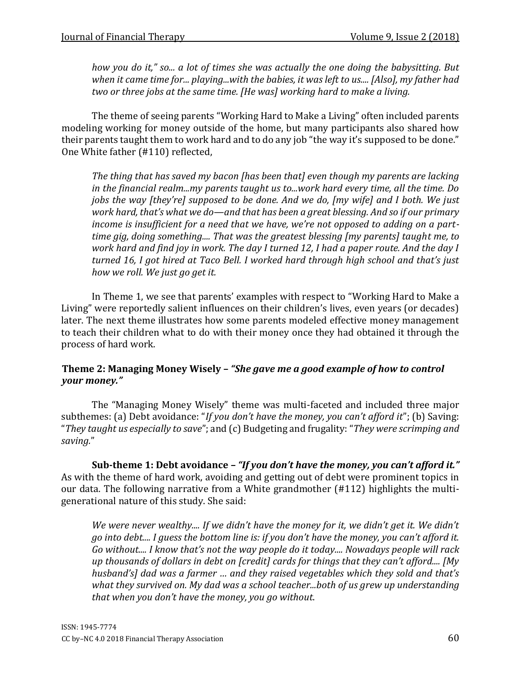*how you do it," so... a lot of times she was actually the one doing the babysitting. But when it came time for... playing...with the babies, it was left to us.... [Also], my father had two or three jobs at the same time. [He was] working hard to make a living.*

The theme of seeing parents "Working Hard to Make a Living" often included parents modeling working for money outside of the home, but many participants also shared how their parents taught them to work hard and to do any job "the way it's supposed to be done." One White father (#110) reflected,

*The thing that has saved my bacon [has been that] even though my parents are lacking in the financial realm...my parents taught us to...work hard every time, all the time. Do jobs the way [they're] supposed to be done. And we do, [my wife] and I both. We just work hard, that's what we do—and that has been a great blessing. And so if our primary income is insufficient for a need that we have, we're not opposed to adding on a parttime gig, doing something.... That was the greatest blessing [my parents] taught me, to work hard and find joy in work. The day I turned 12, I had a paper route. And the day I turned 16, I got hired at Taco Bell. I worked hard through high school and that's just how we roll. We just go get it.* 

In Theme 1, we see that parents' examples with respect to "Working Hard to Make a Living" were reportedly salient influences on their children's lives, even years (or decades) later. The next theme illustrates how some parents modeled effective money management to teach their children what to do with their money once they had obtained it through the process of hard work.

#### **Theme 2: Managing Money Wisely –** *"She gave me a good example of how to control your money."*

The "Managing Money Wisely" theme was multi-faceted and included three major subthemes: (a) Debt avoidance: "*If you don't have the money, you can't afford it*"; (b) Saving: "*They taught us especially to save*"; and (c) Budgeting and frugality: "*They were scrimping and saving.*"

**Sub-theme 1: Debt avoidance** *– "If you don't have the money, you can't afford it."*  As with the theme of hard work, avoiding and getting out of debt were prominent topics in our data. The following narrative from a White grandmother (#112) highlights the multigenerational nature of this study. She said:

*We were never wealthy.... If we didn't have the money for it, we didn't get it. We didn't go into debt.... I guess the bottom line is: if you don't have the money, you can't afford it. Go without.... I know that's not the way people do it today.... Nowadays people will rack up thousands of dollars in debt on [credit] cards for things that they can't afford.... [My husband's] dad was a farmer … and they raised vegetables which they sold and that's what they survived on. My dad was a school teacher...both of us grew up understanding that when you don't have the money, you go without*.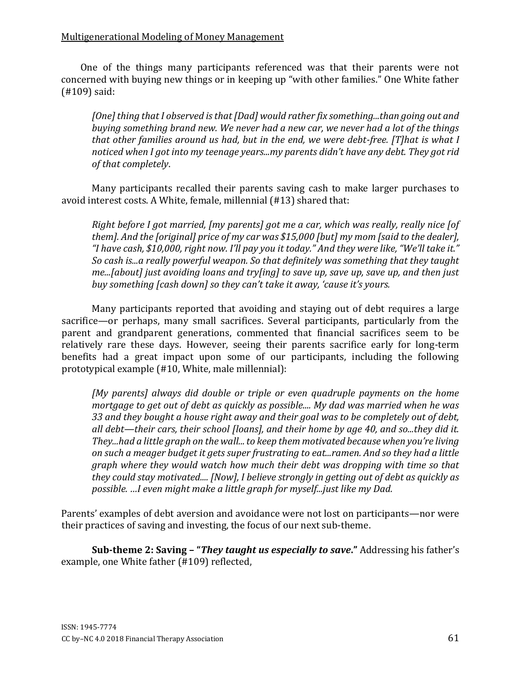#### Multigenerational Modeling of Money Management

One of the things many participants referenced was that their parents were not concerned with buying new things or in keeping up "with other families." One White father (#109) said:

*[One] thing that I observed is that [Dad] would rather fix something...than going out and buying something brand new. We never had a new car, we never had a lot of the things that other families around us had, but in the end, we were debt-free. [T]hat is what I noticed when I got into my teenage years...my parents didn't have any debt. They got rid of that completely*.

Many participants recalled their parents saving cash to make larger purchases to avoid interest costs. A White, female, millennial (#13) shared that:

*Right before I got married, [my parents] got me a car, which was really, really nice [of them]. And the [original] price of my car was \$15,000 [but] my mom [said to the dealer], "I have cash, \$10,000, right now. I'll pay you it today." And they were like, "We'll take it." So cash is...a really powerful weapon. So that definitely was something that they taught me...[about] just avoiding loans and try[ing] to save up, save up, save up, and then just buy something [cash down] so they can't take it away, 'cause it's yours.* 

Many participants reported that avoiding and staying out of debt requires a large sacrifice—or perhaps, many small sacrifices. Several participants, particularly from the parent and grandparent generations, commented that financial sacrifices seem to be relatively rare these days. However, seeing their parents sacrifice early for long-term benefits had a great impact upon some of our participants, including the following prototypical example (#10, White, male millennial):

*[My parents] always did double or triple or even quadruple payments on the home mortgage to get out of debt as quickly as possible.... My dad was married when he was 33 and they bought a house right away and their goal was to be completely out of debt, all debt—their cars, their school [loans], and their home by age 40, and so...they did it. They...had a little graph on the wall... to keep them motivated because when you're living on such a meager budget it gets super frustrating to eat...ramen. And so they had a little graph where they would watch how much their debt was dropping with time so that they could stay motivated.... [Now], I believe strongly in getting out of debt as quickly as possible. …I even might make a little graph for myself...just like my Dad.*

Parents' examples of debt aversion and avoidance were not lost on participants—nor were their practices of saving and investing, the focus of our next sub-theme.

**Sub-theme 2: Saving – "***They taught us especially to save***."** Addressing his father's example, one White father (#109) reflected,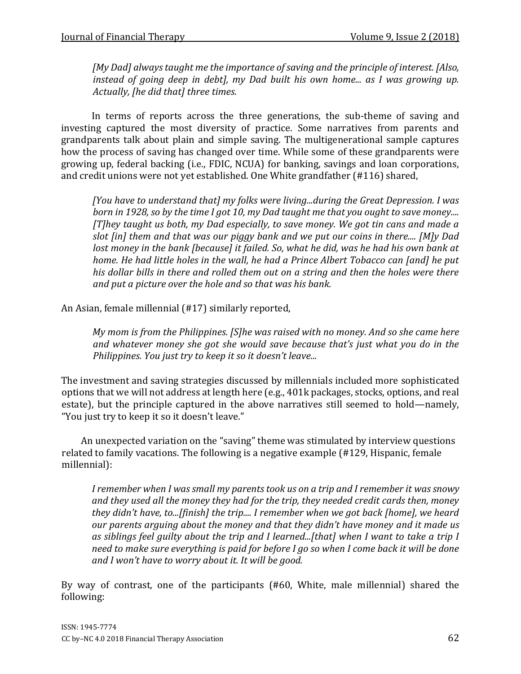*[My Dad] always taught me the importance of saving and the principle of interest. [Also, instead of going deep in debt], my Dad built his own home... as I was growing up. Actually, [he did that] three times.* 

In terms of reports across the three generations, the sub-theme of saving and investing captured the most diversity of practice. Some narratives from parents and grandparents talk about plain and simple saving. The multigenerational sample captures how the process of saving has changed over time. While some of these grandparents were growing up, federal backing (i.e., FDIC, NCUA) for banking, savings and loan corporations, and credit unions were not yet established. One White grandfather (#116) shared,

*[You have to understand that] my folks were living...during the Great Depression. I was born in 1928, so by the time I got 10, my Dad taught me that you ought to save money.... [T]hey taught us both, my Dad especially, to save money. We got tin cans and made a slot [in] them and that was our piggy bank and we put our coins in there.... [M]y Dad lost money in the bank [because] it failed. So, what he did, was he had his own bank at home. He had little holes in the wall, he had a Prince Albert Tobacco can [and] he put his dollar bills in there and rolled them out on a string and then the holes were there and put a picture over the hole and so that was his bank.* 

An Asian, female millennial (#17) similarly reported,

*My mom is from the Philippines. [S]he was raised with no money. And so she came here and whatever money she got she would save because that's just what you do in the Philippines. You just try to keep it so it doesn't leave...* 

The investment and saving strategies discussed by millennials included more sophisticated options that we will not address at length here (e.g., 401k packages, stocks, options, and real estate), but the principle captured in the above narratives still seemed to hold—namely, "You just try to keep it so it doesn't leave."

An unexpected variation on the "saving" theme was stimulated by interview questions related to family vacations. The following is a negative example (#129, Hispanic, female millennial):

*I remember when I was small my parents took us on a trip and I remember it was snowy and they used all the money they had for the trip, they needed credit cards then, money they didn't have, to...[finish] the trip.... I remember when we got back [home], we heard our parents arguing about the money and that they didn't have money and it made us as siblings feel guilty about the trip and I learned...[that] when I want to take a trip I need to make sure everything is paid for before I go so when I come back it will be done and I won't have to worry about it. It will be good.*

By way of contrast, one of the participants (#60, White, male millennial) shared the following: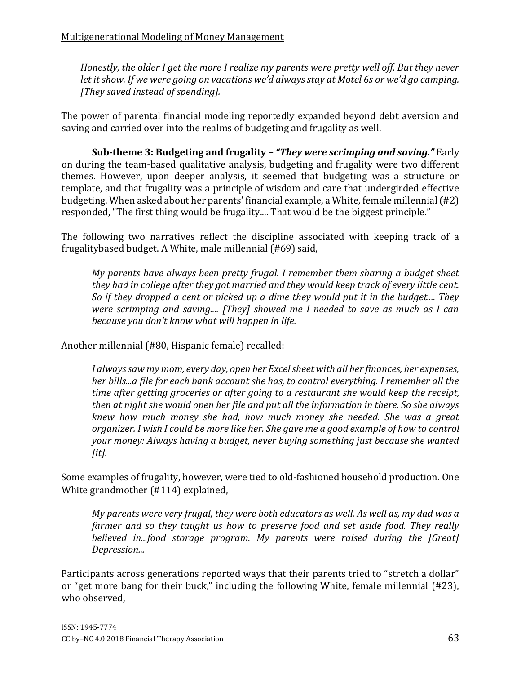*Honestly, the older I get the more I realize my parents were pretty well off. But they never let it show. If we were going on vacations we'd always stay at Motel 6s or we'd go camping. [They saved instead of spending].* 

The power of parental financial modeling reportedly expanded beyond debt aversion and saving and carried over into the realms of budgeting and frugality as well.

**Sub-theme 3: Budgeting and frugality** *– "They were scrimping and saving."* Early on during the team-based qualitative analysis, budgeting and frugality were two different themes. However, upon deeper analysis, it seemed that budgeting was a structure or template, and that frugality was a principle of wisdom and care that undergirded effective budgeting. When asked about her parents' financial example, a White, female millennial (#2) responded, "The first thing would be frugality.... That would be the biggest principle."

The following two narratives reflect the discipline associated with keeping track of a frugalitybased budget. A White, male millennial (#69) said,

*My parents have always been pretty frugal. I remember them sharing a budget sheet they had in college after they got married and they would keep track of every little cent. So if they dropped a cent or picked up a dime they would put it in the budget.... They were scrimping and saving.... [They] showed me I needed to save as much as I can because you don't know what will happen in life.* 

Another millennial (#80, Hispanic female) recalled:

*I always saw my mom, every day, open her Excel sheet with all her finances, her expenses, her bills...a file for each bank account she has, to control everything. I remember all the time after getting groceries or after going to a restaurant she would keep the receipt, then at night she would open her file and put all the information in there. So she always knew how much money she had, how much money she needed. She was a great organizer. I wish I could be more like her. She gave me a good example of how to control your money: Always having a budget, never buying something just because she wanted [it].* 

Some examples of frugality, however, were tied to old-fashioned household production. One White grandmother (#114) explained,

*My parents were very frugal, they were both educators as well. As well as, my dad was a farmer and so they taught us how to preserve food and set aside food. They really believed in...food storage program. My parents were raised during the [Great] Depression...* 

Participants across generations reported ways that their parents tried to "stretch a dollar" or "get more bang for their buck," including the following White, female millennial (#23), who observed,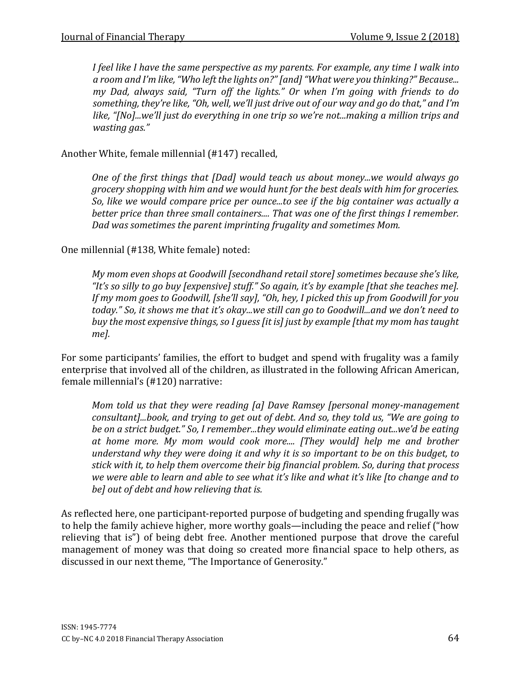*I feel like I have the same perspective as my parents. For example, any time I walk into a room and I'm like, "Who left the lights on?" [and] "What were you thinking?" Because... my Dad, always said, "Turn off the lights." Or when I'm going with friends to do something, they're like, "Oh, well, we'll just drive out of our way and go do that," and I'm like, "[No]...we'll just do everything in one trip so we're not...making a million trips and wasting gas."* 

Another White, female millennial (#147) recalled,

*One of the first things that [Dad] would teach us about money...we would always go grocery shopping with him and we would hunt for the best deals with him for groceries. So, like we would compare price per ounce...to see if the big container was actually a better price than three small containers.... That was one of the first things I remember. Dad was sometimes the parent imprinting frugality and sometimes Mom.* 

One millennial (#138, White female) noted:

*My mom even shops at Goodwill [secondhand retail store] sometimes because she's like, "It's so silly to go buy [expensive] stuff." So again, it's by example [that she teaches me]. If my mom goes to Goodwill, [she'll say], "Oh, hey, I picked this up from Goodwill for you today." So, it shows me that it's okay...we still can go to Goodwill...and we don't need to buy the most expensive things, so I guess [it is] just by example [that my mom has taught me].* 

For some participants' families, the effort to budget and spend with frugality was a family enterprise that involved all of the children, as illustrated in the following African American, female millennial's (#120) narrative:

*Mom told us that they were reading [a] Dave Ramsey [personal money-management consultant]...book, and trying to get out of debt. And so, they told us, "We are going to be on a strict budget." So, I remember...they would eliminate eating out...we'd be eating at home more. My mom would cook more.... [They would] help me and brother understand why they were doing it and why it is so important to be on this budget, to stick with it, to help them overcome their big financial problem. So, during that process we were able to learn and able to see what it's like and what it's like [to change and to be] out of debt and how relieving that is.* 

As reflected here, one participant-reported purpose of budgeting and spending frugally was to help the family achieve higher, more worthy goals—including the peace and relief ("how relieving that is") of being debt free. Another mentioned purpose that drove the careful management of money was that doing so created more financial space to help others, as discussed in our next theme, "The Importance of Generosity."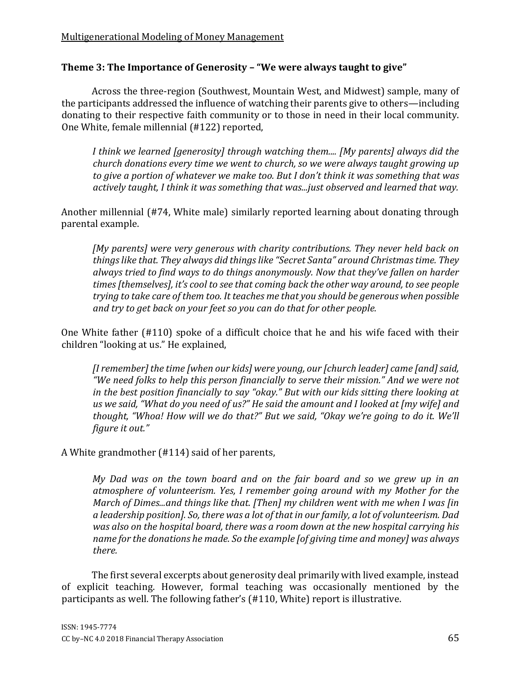# **Theme 3: The Importance of Generosity – "We were always taught to give"**

Across the three-region (Southwest, Mountain West, and Midwest) sample, many of the participants addressed the influence of watching their parents give to others—including donating to their respective faith community or to those in need in their local community. One White, female millennial (#122) reported,

*I think we learned [generosity] through watching them.... [My parents] always did the church donations every time we went to church, so we were always taught growing up to give a portion of whatever we make too. But I don't think it was something that was actively taught, I think it was something that was...just observed and learned that way.* 

Another millennial (#74, White male) similarly reported learning about donating through parental example.

*[My parents] were very generous with charity contributions. They never held back on things like that. They always did things like "Secret Santa" around Christmas time. They always tried to find ways to do things anonymously. Now that they've fallen on harder times [themselves], it's cool to see that coming back the other way around, to see people trying to take care of them too. It teaches me that you should be generous when possible and try to get back on your feet so you can do that for other people.* 

One White father (#110) spoke of a difficult choice that he and his wife faced with their children "looking at us." He explained,

*[I remember] the time [when our kids] were young, our [church leader] came [and] said, "We need folks to help this person financially to serve their mission." And we were not in the best position financially to say "okay." But with our kids sitting there looking at us we said, "What do you need of us?" He said the amount and I looked at [my wife] and thought, "Whoa! How will we do that?" But we said, "Okay we're going to do it. We'll figure it out."* 

A White grandmother (#114) said of her parents,

*My Dad was on the town board and on the fair board and so we grew up in an atmosphere of volunteerism. Yes, I remember going around with my Mother for the March of Dimes...and things like that. [Then] my children went with me when I was [in a leadership position]. So, there was a lot of that in our family, a lot of volunteerism. Dad was also on the hospital board, there was a room down at the new hospital carrying his name for the donations he made. So the example [of giving time and money] was always there.* 

The first several excerpts about generosity deal primarily with lived example, instead of explicit teaching. However, formal teaching was occasionally mentioned by the participants as well. The following father's (#110, White) report is illustrative.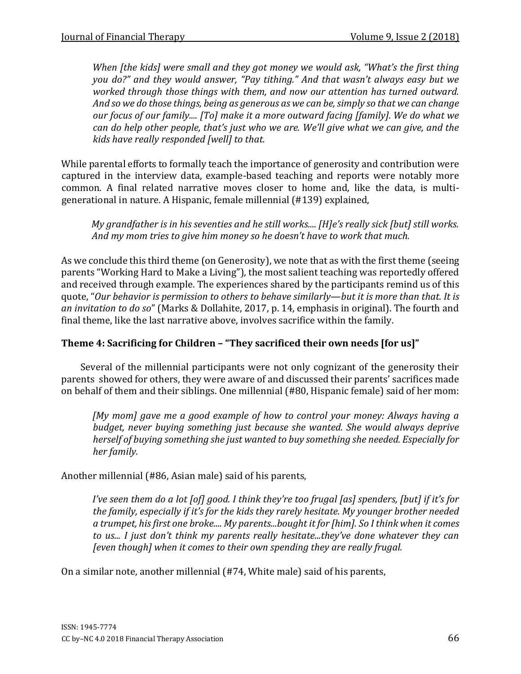*When [the kids] were small and they got money we would ask, "What's the first thing you do?" and they would answer, "Pay tithing." And that wasn't always easy but we worked through those things with them, and now our attention has turned outward. And so we do those things, being as generous as we can be, simply so that we can change our focus of our family.... [To] make it a more outward facing [family]. We do what we can do help other people, that's just who we are. We'll give what we can give, and the kids have really responded [well] to that.* 

While parental efforts to formally teach the importance of generosity and contribution were captured in the interview data, example-based teaching and reports were notably more common. A final related narrative moves closer to home and, like the data, is multigenerational in nature. A Hispanic, female millennial (#139) explained,

*My grandfather is in his seventies and he still works.... [H]e's really sick [but] still works. And my mom tries to give him money so he doesn't have to work that much.* 

As we conclude this third theme (on Generosity), we note that as with the first theme (seeing parents "Working Hard to Make a Living"), the most salient teaching was reportedly offered and received through example. The experiences shared by the participants remind us of this quote, "*Our behavior is permission to others to behave similarly*—*but it is more than that. It is an invitation to do so*" (Marks & Dollahite, 2017, p. 14, emphasis in original). The fourth and final theme, like the last narrative above, involves sacrifice within the family.

## **Theme 4: Sacrificing for Children – "They sacrificed their own needs [for us]"**

Several of the millennial participants were not only cognizant of the generosity their parents showed for others, they were aware of and discussed their parents' sacrifices made on behalf of them and their siblings. One millennial (#80, Hispanic female) said of her mom:

*[My mom] gave me a good example of how to control your money: Always having a budget, never buying something just because she wanted. She would always deprive herself of buying something she just wanted to buy something she needed. Especially for her family.* 

Another millennial (#86, Asian male) said of his parents,

*I've seen them do a lot [of] good. I think they're too frugal [as] spenders, [but] if it's for the family, especially if it's for the kids they rarely hesitate. My younger brother needed a trumpet, his first one broke.... My parents...bought it for [him]. So I think when it comes to us... I just don't think my parents really hesitate...they've done whatever they can [even though] when it comes to their own spending they are really frugal.* 

On a similar note, another millennial (#74, White male) said of his parents,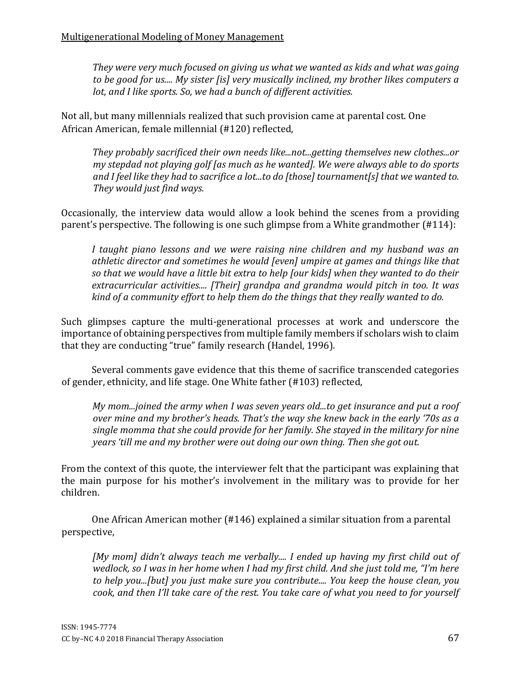*They were very much focused on giving us what we wanted as kids and what was going to be good for us.... My sister [is] very musically inclined, my brother likes computers a lot, and I like sports. So, we had a bunch of different activities.* 

Not all, but many millennials realized that such provision came at parental cost. One African American, female millennial (#120) reflected,

*They probably sacrificed their own needs like...not...getting themselves new clothes...or my stepdad not playing golf [as much as he wanted]. We were always able to do sports and I feel like they had to sacrifice a lot...to do [those] tournament[s] that we wanted to. They would just find ways.* 

Occasionally, the interview data would allow a look behind the scenes from a providing parent's perspective. The following is one such glimpse from a White grandmother (#114):

*I taught piano lessons and we were raising nine children and my husband was an athletic director and sometimes he would [even] umpire at games and things like that so that we would have a little bit extra to help [our kids] when they wanted to do their extracurricular activities.... [Their] grandpa and grandma would pitch in too. It was kind of a community effort to help them do the things that they really wanted to do.* 

Such glimpses capture the multi-generational processes at work and underscore the importance of obtaining perspectives from multiple family members if scholars wish to claim that they are conducting "true" family research (Handel, 1996).

Several comments gave evidence that this theme of sacrifice transcended categories of gender, ethnicity, and life stage. One White father (#103) reflected,

*My mom...joined the army when I was seven years old...to get insurance and put a roof over mine and my brother's heads. That's the way she knew back in the early '70s as a single momma that she could provide for her family. She stayed in the military for nine years 'till me and my brother were out doing our own thing. Then she got out.* 

From the context of this quote, the interviewer felt that the participant was explaining that the main purpose for his mother's involvement in the military was to provide for her children.

One African American mother (#146) explained a similar situation from a parental perspective,

*[My mom] didn't always teach me verbally.... I ended up having my first child out of wedlock, so I was in her home when I had my first child. And she just told me, "I'm here to help you...[but] you just make sure you contribute.... You keep the house clean, you cook, and then I'll take care of the rest. You take care of what you need to for yourself*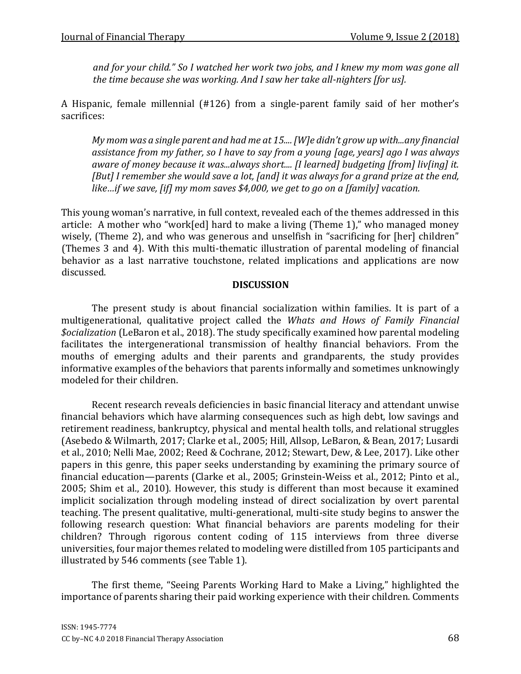*and for your child." So I watched her work two jobs, and I knew my mom was gone all the time because she was working. And I saw her take all-nighters [for us].* 

A Hispanic, female millennial (#126) from a single-parent family said of her mother's sacrifices:

*My mom was a single parent and had me at 15.... [W]e didn't grow up with...any financial assistance from my father, so I have to say from a young [age, years] ago I was always aware of money because it was...always short.... [I learned] budgeting [from] liv[ing] it. [But] I remember she would save a lot, [and] it was always for a grand prize at the end, like…if we save, [if] my mom saves \$4,000, we get to go on a [family] vacation.* 

This young woman's narrative, in full context, revealed each of the themes addressed in this article: A mother who "work[ed] hard to make a living (Theme 1)," who managed money wisely, (Theme 2), and who was generous and unselfish in "sacrificing for [her] children" (Themes 3 and 4). With this multi-thematic illustration of parental modeling of financial behavior as a last narrative touchstone, related implications and applications are now discussed.

#### **DISCUSSION**

The present study is about financial socialization within families. It is part of a multigenerational, qualitative project called the *Whats and Hows of Family Financial \$ocialization* (LeBaron et al., 2018). The study specifically examined how parental modeling facilitates the intergenerational transmission of healthy financial behaviors. From the mouths of emerging adults and their parents and grandparents, the study provides informative examples of the behaviors that parents informally and sometimes unknowingly modeled for their children.

Recent research reveals deficiencies in basic financial literacy and attendant unwise financial behaviors which have alarming consequences such as high debt, low savings and retirement readiness, bankruptcy, physical and mental health tolls, and relational struggles (Asebedo & Wilmarth, 2017; Clarke et al., 2005; Hill, Allsop, LeBaron, & Bean, 2017; Lusardi et al., 2010; Nelli Mae, 2002; Reed & Cochrane, 2012; Stewart, Dew, & Lee, 2017). Like other papers in this genre, this paper seeks understanding by examining the primary source of financial education—parents (Clarke et al., 2005; Grinstein-Weiss et al., 2012; Pinto et al., 2005; Shim et al., 2010). However, this study is different than most because it examined implicit socialization through modeling instead of direct socialization by overt parental teaching. The present qualitative, multi-generational, multi-site study begins to answer the following research question: What financial behaviors are parents modeling for their children? Through rigorous content coding of 115 interviews from three diverse universities, four major themes related to modeling were distilled from 105 participants and illustrated by 546 comments (see Table 1).

The first theme, "Seeing Parents Working Hard to Make a Living," highlighted the importance of parents sharing their paid working experience with their children. Comments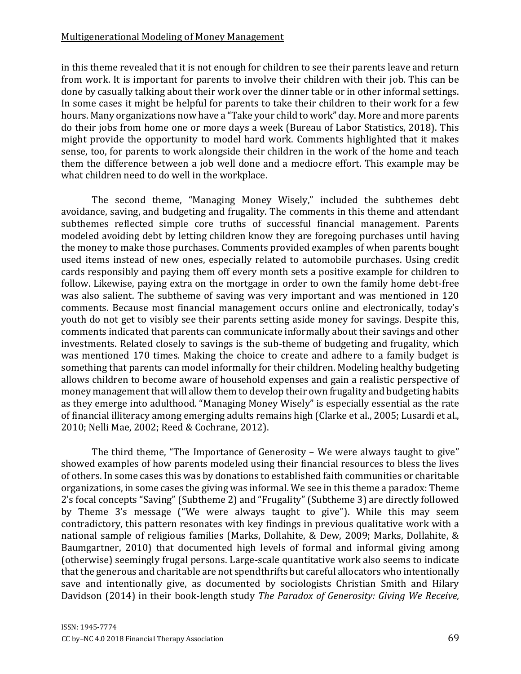#### Multigenerational Modeling of Money Management

in this theme revealed that it is not enough for children to see their parents leave and return from work. It is important for parents to involve their children with their job. This can be done by casually talking about their work over the dinner table or in other informal settings. In some cases it might be helpful for parents to take their children to their work for a few hours. Many organizations now have a "Take your child to work" day. More and more parents do their jobs from home one or more days a week (Bureau of Labor Statistics, 2018). This might provide the opportunity to model hard work. Comments highlighted that it makes sense, too, for parents to work alongside their children in the work of the home and teach them the difference between a job well done and a mediocre effort. This example may be what children need to do well in the workplace.

The second theme, "Managing Money Wisely," included the subthemes debt avoidance, saving, and budgeting and frugality. The comments in this theme and attendant subthemes reflected simple core truths of successful financial management. Parents modeled avoiding debt by letting children know they are foregoing purchases until having the money to make those purchases. Comments provided examples of when parents bought used items instead of new ones, especially related to automobile purchases. Using credit cards responsibly and paying them off every month sets a positive example for children to follow. Likewise, paying extra on the mortgage in order to own the family home debt-free was also salient. The subtheme of saving was very important and was mentioned in 120 comments. Because most financial management occurs online and electronically, today's youth do not get to visibly see their parents setting aside money for savings. Despite this, comments indicated that parents can communicate informally about their savings and other investments. Related closely to savings is the sub-theme of budgeting and frugality, which was mentioned 170 times. Making the choice to create and adhere to a family budget is something that parents can model informally for their children. Modeling healthy budgeting allows children to become aware of household expenses and gain a realistic perspective of money management that will allow them to develop their own frugality and budgeting habits as they emerge into adulthood. "Managing Money Wisely" is especially essential as the rate of financial illiteracy among emerging adults remains high (Clarke et al., 2005; Lusardi et al., 2010; Nelli Mae, 2002; Reed & Cochrane, 2012).

The third theme, "The Importance of Generosity – We were always taught to give" showed examples of how parents modeled using their financial resources to bless the lives of others. In some cases this was by donations to established faith communities or charitable organizations, in some cases the giving was informal. We see in this theme a paradox: Theme 2's focal concepts "Saving" (Subtheme 2) and "Frugality" (Subtheme 3) are directly followed by Theme 3's message ("We were always taught to give"). While this may seem contradictory, this pattern resonates with key findings in previous qualitative work with a national sample of religious families (Marks, Dollahite, & Dew, 2009; Marks, Dollahite, & Baumgartner, 2010) that documented high levels of formal and informal giving among (otherwise) seemingly frugal persons. Large-scale quantitative work also seems to indicate that the generous and charitable are not spendthrifts but careful allocators who intentionally save and intentionally give, as documented by sociologists Christian Smith and Hilary Davidson (2014) in their book-length study *The Paradox of Generosity: Giving We Receive,*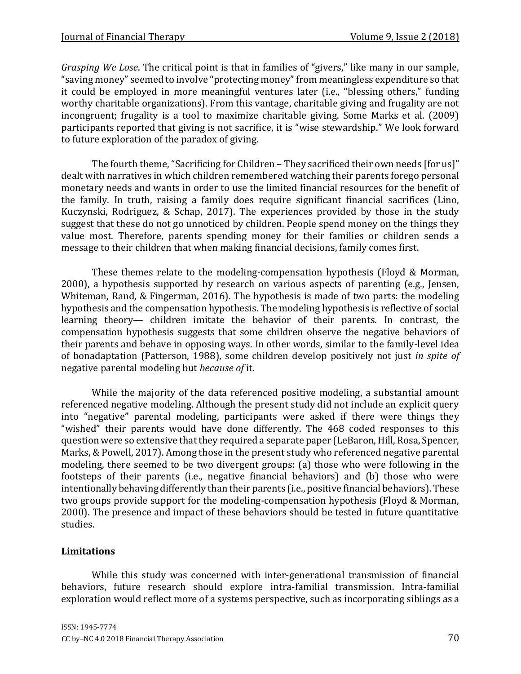*Grasping We Lose*. The critical point is that in families of "givers," like many in our sample, "saving money" seemed to involve "protecting money" from meaningless expenditure so that it could be employed in more meaningful ventures later (i.e., "blessing others," funding worthy charitable organizations). From this vantage, charitable giving and frugality are not incongruent; frugality is a tool to maximize charitable giving. Some Marks et al. (2009) participants reported that giving is not sacrifice, it is "wise stewardship." We look forward to future exploration of the paradox of giving.

The fourth theme, "Sacrificing for Children – They sacrificed their own needs [for us]" dealt with narratives in which children remembered watching their parents forego personal monetary needs and wants in order to use the limited financial resources for the benefit of the family. In truth, raising a family does require significant financial sacrifices (Lino, Kuczynski, Rodriguez, & Schap, 2017). The experiences provided by those in the study suggest that these do not go unnoticed by children. People spend money on the things they value most. Therefore, parents spending money for their families or children sends a message to their children that when making financial decisions, family comes first.

These themes relate to the modeling-compensation hypothesis (Floyd & Morman, 2000), a hypothesis supported by research on various aspects of parenting (e.g., Jensen, Whiteman, Rand, & Fingerman, 2016). The hypothesis is made of two parts: the modeling hypothesis and the compensation hypothesis. The modeling hypothesis is reflective of social learning theory— children imitate the behavior of their parents. In contrast, the compensation hypothesis suggests that some children observe the negative behaviors of their parents and behave in opposing ways. In other words, similar to the family-level idea of bonadaptation (Patterson, 1988), some children develop positively not just *in spite of* negative parental modeling but *because of* it.

While the majority of the data referenced positive modeling, a substantial amount referenced negative modeling. Although the present study did not include an explicit query into "negative" parental modeling, participants were asked if there were things they "wished" their parents would have done differently. The 468 coded responses to this question were so extensive that they required a separate paper (LeBaron, Hill, Rosa, Spencer, Marks, & Powell, 2017). Among those in the present study who referenced negative parental modeling, there seemed to be two divergent groups: (a) those who were following in the footsteps of their parents (i.e., negative financial behaviors) and (b) those who were intentionally behaving differently than their parents (i.e., positive financial behaviors). These two groups provide support for the modeling-compensation hypothesis (Floyd & Morman, 2000). The presence and impact of these behaviors should be tested in future quantitative studies.

#### **Limitations**

While this study was concerned with inter-generational transmission of financial behaviors, future research should explore intra-familial transmission. Intra-familial exploration would reflect more of a systems perspective, such as incorporating siblings as a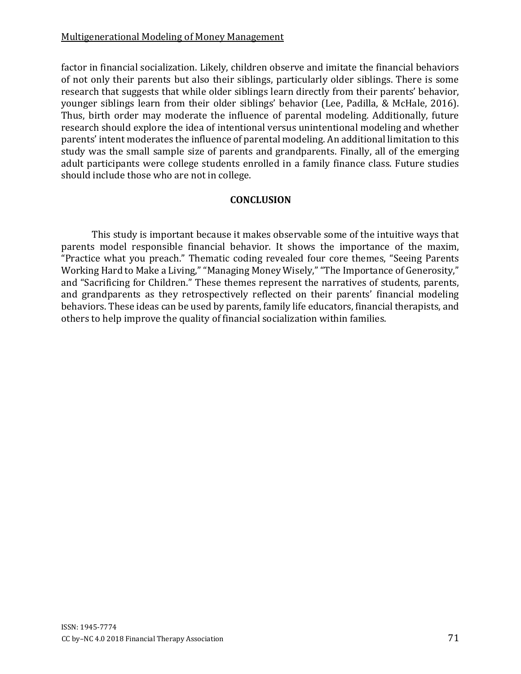factor in financial socialization. Likely, children observe and imitate the financial behaviors of not only their parents but also their siblings, particularly older siblings. There is some research that suggests that while older siblings learn directly from their parents' behavior, younger siblings learn from their older siblings' behavior (Lee, Padilla, & McHale, 2016). Thus, birth order may moderate the influence of parental modeling. Additionally, future research should explore the idea of intentional versus unintentional modeling and whether parents' intent moderates the influence of parental modeling. An additional limitation to this study was the small sample size of parents and grandparents. Finally, all of the emerging adult participants were college students enrolled in a family finance class. Future studies should include those who are not in college.

#### **CONCLUSION**

This study is important because it makes observable some of the intuitive ways that parents model responsible financial behavior. It shows the importance of the maxim, "Practice what you preach." Thematic coding revealed four core themes, "Seeing Parents Working Hard to Make a Living," "Managing Money Wisely," "The Importance of Generosity," and "Sacrificing for Children." These themes represent the narratives of students, parents, and grandparents as they retrospectively reflected on their parents' financial modeling behaviors. These ideas can be used by parents, family life educators, financial therapists, and others to help improve the quality of financial socialization within families.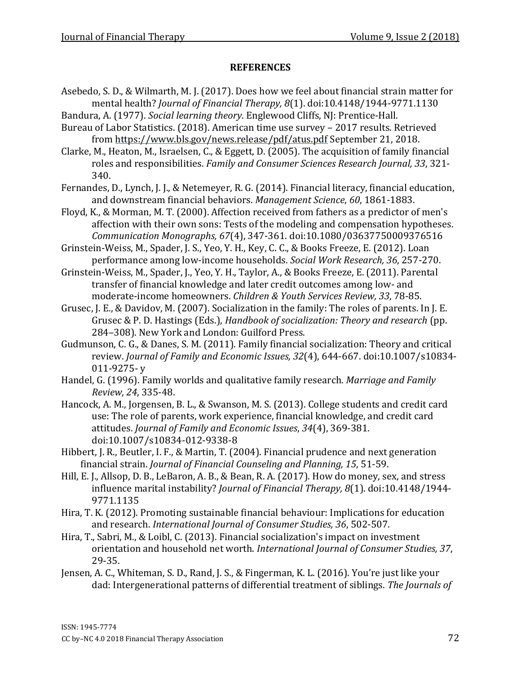#### **REFERENCES**

- Asebedo, S. D., & Wilmarth, M. J. (2017). Does how we feel about financial strain matter for mental health? *Journal of Financial Therapy, 8*(1). doi:10.4148/1944-9771.1130
- Bandura, A. (1977). *Social learning theory*. Englewood Cliffs, NJ: Prentice-Hall.
- Bureau of Labor Statistics. (2018). American time use survey 2017 results. Retrieved from https://www.bls.gov/news.release/pdf/atus.pd[f](https://www.bls.gov/news.release/pdf/atus.pdf) September 21, 2018.
- Clarke, M., Heaton, M., Israelsen, C., & Eggett, D. (2005). The acquisition of family financial roles and responsibilities. *Family and Consumer Sciences Research Journal, 33*, 321- 340.
- Fernandes, D., Lynch, J. J., & Netemeyer, R. G. (2014). Financial literacy, financial education, and downstream financial behaviors. *Management Science*, *60*, 1861-1883.
- Floyd, K., & Morman, M. T. (2000). Affection received from fathers as a predictor of men's affection with their own sons: Tests of the modeling and compensation hypotheses. *Communication Monographs, 67*(4), 347-361. doi:10.1080/03637750009376516

Grinstein-Weiss, M., Spader, J. S., Yeo, Y. H., Key, C. C., & Books Freeze, E. (2012). Loan performance among low-income households. *Social Work Research, 36*, 257-270.

- Grinstein-Weiss, M., Spader, J., Yeo, Y. H., Taylor, A., & Books Freeze, E. (2011). Parental transfer of financial knowledge and later credit outcomes among low- and moderate-income homeowners. *Children & Youth Services Review, 33*, 78-85.
- Grusec, J. E., & Davidov, M. (2007). Socialization in the family: The roles of parents. In J. E. Grusec & P. D. Hastings (Eds.), *Handbook of socialization: Theory and research* (pp. 284–308). New York and London: Guilford Press.
- Gudmunson, C. G., & Danes, S. M. (2011). Family financial socialization: Theory and critical review. *Journal of Family and Economic Issues, 32*(4), 644-667. doi:10.1007/s10834- 011-9275- y
- Handel, G. (1996). Family worlds and qualitative family research. *Marriage and Family Review, 24*, 335-48.
- Hancock, A. M., Jorgensen, B. L., & Swanson, M. S. (2013). College students and credit card use: The role of parents, work experience, financial knowledge, and credit card attitudes. *Journal of Family and Economic Issues*, *34*(4), 369-381. doi:10.1007/s10834-012-9338-8
- Hibbert, J. R., Beutler, I. F., & Martin, T. (2004). Financial prudence and next generation financial strain. *Journal of Financial Counseling and Planning, 15*, 51-59.
- Hill, E. J., Allsop, D. B., LeBaron, A. B., & Bean, R. A. (2017). How do money, sex, and stress influence marital instability? *Journal of Financial Therapy, 8*(1). doi:10.4148/1944- 9771.1135
- Hira, T. K. (2012). Promoting sustainable financial behaviour: Implications for education and research. *International Journal of Consumer Studies, 36*, 502-507.
- Hira, T., Sabri, M., & Loibl, C. (2013). Financial socialization's impact on investment orientation and household net worth. *International Journal of Consumer Studies, 37*, 29-35.
- Jensen, A. C., Whiteman, S. D., Rand, J. S., & Fingerman, K. L. (2016). You're just like your dad: Intergenerational patterns of differential treatment of siblings. *The Journals of*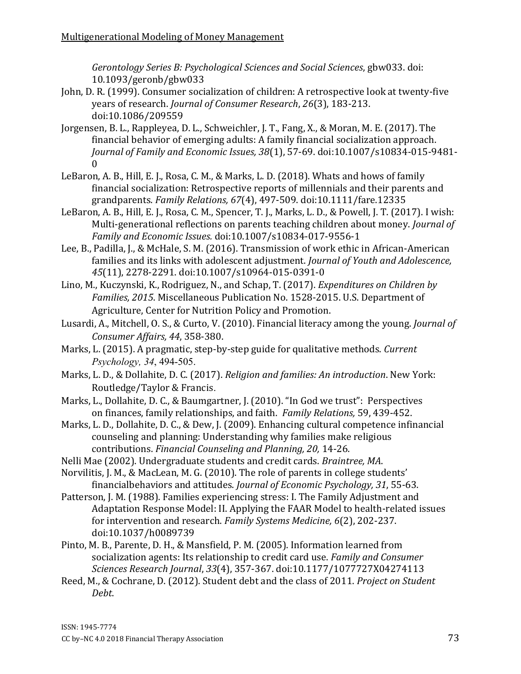*Gerontology Series B: Psychological Sciences and Social Sciences*, gbw033. doi: 10.1093/geronb/gbw033

- John, D. R. (1999). Consumer socialization of children: A retrospective look at twenty-five years of research. *Journal of Consumer Research*, *26*(3), 183-213. doi:10.1086/209559
- Jorgensen, B. L., Rappleyea, D. L., Schweichler, J. T., Fang, X., & Moran, M. E. (2017). The financial behavior of emerging adults: A family financial socialization approach. *Journal of Family and Economic Issues, 38*(1), 57-69. doi:10.1007/s10834-015-9481- 0
- LeBaron, A. B., Hill, E. J., Rosa, C. M., & Marks, L. D. (2018). Whats and hows of family financial socialization: Retrospective reports of millennials and their parents and grandparents. *Family Relations, 67*(4), 497-509. doi:10.1111/fare.12335
- LeBaron, A. B., Hill, E. J., Rosa, C. M., Spencer, T. J., Marks, L. D., & Powell, J. T. (2017). I wish: Multi-generational reflections on parents teaching children about money. *Journal of Family and Economic Issues.* doi:10.1007/s10834-017-9556-1
- Lee, B., Padilla, J., & McHale, S. M. (2016). Transmission of work ethic in African-American families and its links with adolescent adjustment. *Journal of Youth and Adolescence, 45*(11), 2278-2291. doi:10.1007/s10964-015-0391-0
- Lino, M., Kuczynski, K., Rodriguez, N., and Schap, T. (2017). *Expenditures on Children by Families, 2015*. Miscellaneous Publication No. 1528-2015. U.S. Department of Agriculture, Center for Nutrition Policy and Promotion.
- Lusardi, A., Mitchell, O. S., & Curto, V. (2010). Financial literacy among the young. *Journal of Consumer Affairs, 44*, 358-380.
- Marks, L. (2015). A pragmatic, step-by-step guide for qualitative methods. *Current Psychology, 34*, 494-505.
- Marks, L. D., & Dollahite, D. C. (2017). *Religion and families: An introduction*. New York: Routledge/Taylor & Francis.
- Marks, L., Dollahite, D. C., & Baumgartner, J. (2010). "In God we trust": Perspectives on finances, family relationships, and faith. *Family Relations,* 59, 439-452.
- Marks, L. D., Dollahite, D. C., & Dew, J. (2009). Enhancing cultural competence infinancial counseling and planning: Understanding why families make religious contributions. *Financial Counseling and Planning, 20,* 14-26.
- Nelli Mae (2002). Undergraduate students and credit cards. *Braintree, MA*.
- Norvilitis, J. M., & MacLean, M. G. (2010). The role of parents in college students' financialbehaviors and attitudes. *Journal of Economic Psychology, 31*, 55-63.
- Patterson, J. M. (1988). Families experiencing stress: I. The Family Adjustment and Adaptation Response Model: II. Applying the FAAR Model to health-related issues for intervention and research. *Family Systems Medicine, 6*(2), 202-237. doi:10.1037/h0089739
- Pinto, M. B., Parente, D. H., & Mansfield, P. M. (2005). Information learned from socialization agents: Its relationship to credit card use. *Family and Consumer Sciences Research Journal*, *33*(4), 357-367. doi:10.1177/1077727X04274113
- Reed, M., & Cochrane, D. (2012). Student debt and the class of 2011. *Project on Student Debt*.